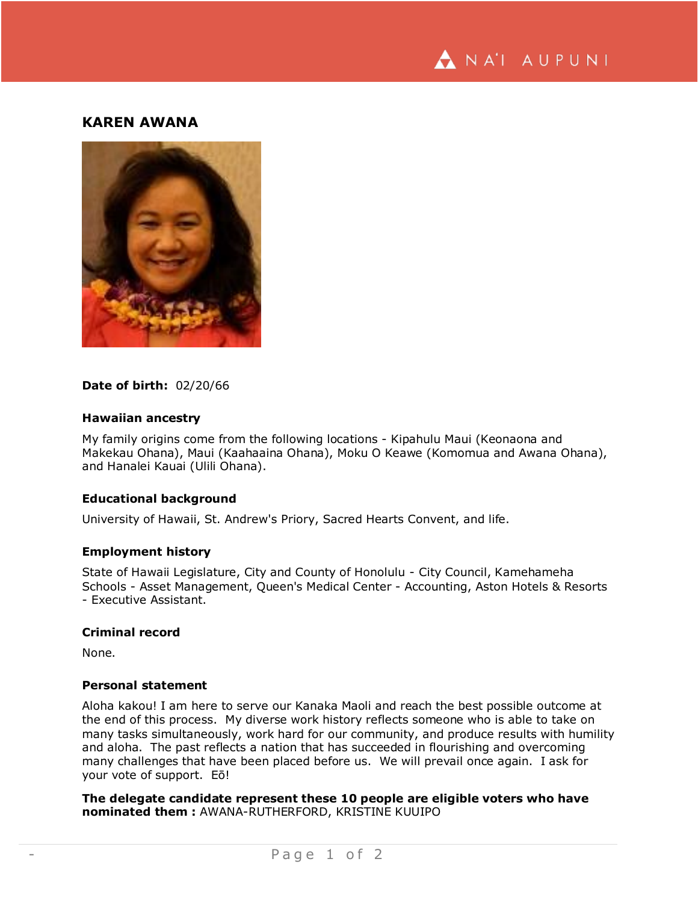

## **KAREN AWANA**



#### **Date of birth:** 02/20/66

#### **Hawaiian ancestry**

My family origins come from the following locations - Kipahulu Maui (Keonaona and Makekau Ohana), Maui (Kaahaaina Ohana), Moku O Keawe (Komomua and Awana Ohana), and Hanalei Kauai (Ulili Ohana).

### **Educational background**

University of Hawaii, St. Andrew's Priory, Sacred Hearts Convent, and life.

## **Employment history**

State of Hawaii Legislature, City and County of Honolulu - City Council, Kamehameha Schools - Asset Management, Queen's Medical Center - Accounting, Aston Hotels & Resorts - Executive Assistant.

#### **Criminal record**

None.

### **Personal statement**

Aloha kakou! I am here to serve our Kanaka Maoli and reach the best possible outcome at the end of this process. My diverse work history reflects someone who is able to take on many tasks simultaneously, work hard for our community, and produce results with humility and aloha. The past reflects a nation that has succeeded in flourishing and overcoming many challenges that have been placed before us. We will prevail once again. I ask for your vote of support. Eō!

**The delegate candidate represent these 10 people are eligible voters who have nominated them :** AWANA-RUTHERFORD, KRISTINE KUUIPO